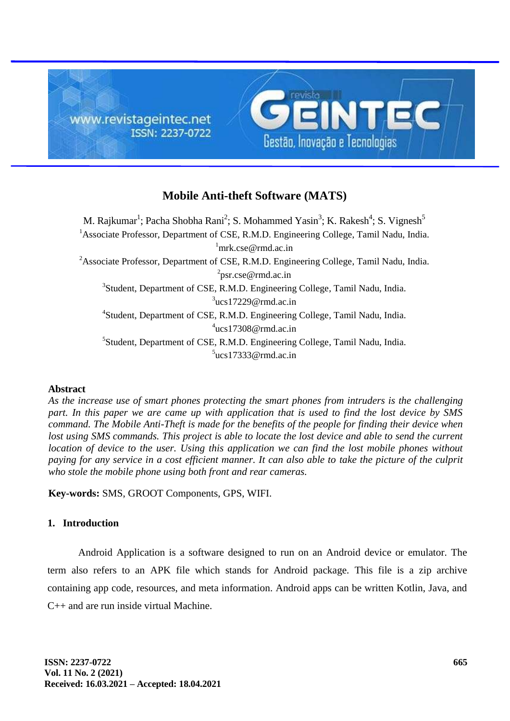

# **Mobile Anti-theft Software (MATS)**

M. Rajkumar<sup>1</sup>; Pacha Shobha Rani<sup>2</sup>; S. Mohammed Yasin<sup>3</sup>; K. Rakesh<sup>4</sup>; S. Vignesh<sup>5</sup> <sup>1</sup> Associate Professor, Department of CSE, R.M.D. Engineering College, Tamil Nadu, India.  $\text{mrk.}$ cse@rmd.ac.in <sup>2</sup>Associate Professor, Department of CSE, R.M.D. Engineering College, Tamil Nadu, India. <sup>2</sup>psr.cse@rmd.ac.in <sup>3</sup>Student, Department of CSE, R.M.D. Engineering College, Tamil Nadu, India.  $3$ ucs17229@rmd.ac.in 4 Student, Department of CSE, R.M.D. Engineering College, Tamil Nadu, India. 4 ucs17308@rmd.ac.in 5 Student, Department of CSE, R.M.D. Engineering College, Tamil Nadu, India.  $5$ ucs17333@rmd.ac.in

# **Abstract**

*As the increase use of smart phones protecting the smart phones from intruders is the challenging part. In this paper we are came up with application that is used to find the lost device by SMS command. The Mobile Anti-Theft is made for the benefits of the people for finding their device when*  lost using SMS commands. This project is able to locate the lost device and able to send the current *location of device to the user. Using this application we can find the lost mobile phones without paying for any service in a cost efficient manner. It can also able to take the picture of the culprit who stole the mobile phone using both front and rear cameras.*

**Key-words:** SMS, GROOT Components, GPS, WIFI.

### **1. Introduction**

Android Application is a software designed to run on an Android device or emulator. The term also refers to an APK file which stands for Android package. This file is a zip archive containing app code, resources, and meta information. Android apps can be written Kotlin, Java, and C++ and are run inside virtual Machine.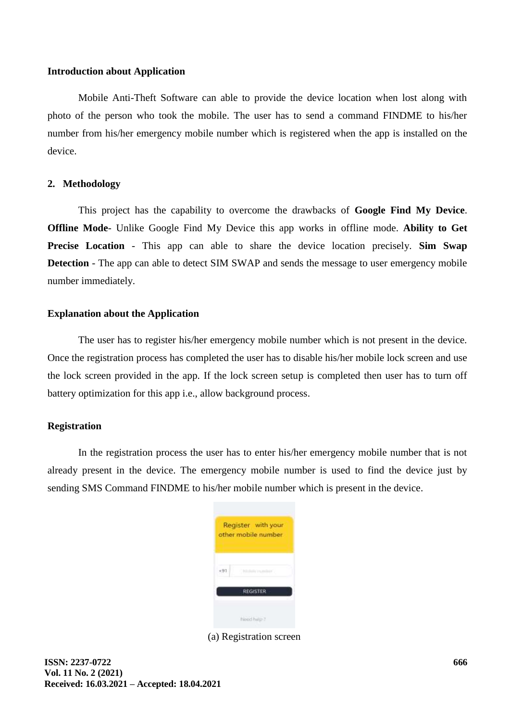### **Introduction about Application**

Mobile Anti-Theft Software can able to provide the device location when lost along with photo of the person who took the mobile. The user has to send a command FINDME to his/her number from his/her emergency mobile number which is registered when the app is installed on the device.

# **2. Methodology**

This project has the capability to overcome the drawbacks of **Google Find My Device**. **Offline Mode**- Unlike Google Find My Device this app works in offline mode. **Ability to Get Precise Location** - This app can able to share the device location precisely. **Sim Swap Detection** - The app can able to detect SIM SWAP and sends the message to user emergency mobile number immediately.

### **Explanation about the Application**

The user has to register his/her emergency mobile number which is not present in the device. Once the registration process has completed the user has to disable his/her mobile lock screen and use the lock screen provided in the app. If the lock screen setup is completed then user has to turn off battery optimization for this app i.e., allow background process.

# **Registration**

In the registration process the user has to enter his/her emergency mobile number that is not already present in the device. The emergency mobile number is used to find the device just by sending SMS Command FINDME to his/her mobile number which is present in the device.

|                 | Register with your<br>other mobile number |  |  |  |  |
|-----------------|-------------------------------------------|--|--|--|--|
|                 | <b>CEMPRODE</b>                           |  |  |  |  |
| <b>REGISTER</b> |                                           |  |  |  |  |
|                 | hired hilp?                               |  |  |  |  |

(a) Registration screen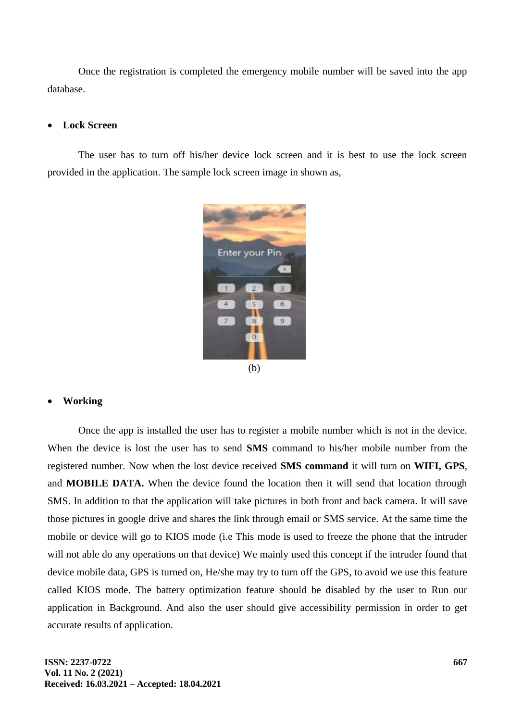Once the registration is completed the emergency mobile number will be saved into the app database.

# **Lock Screen**

The user has to turn off his/her device lock screen and it is best to use the lock screen provided in the application. The sample lock screen image in shown as,



# **Working**

Once the app is installed the user has to register a mobile number which is not in the device. When the device is lost the user has to send **SMS** command to his/her mobile number from the registered number. Now when the lost device received **SMS command** it will turn on **WIFI, GPS**, and **MOBILE DATA.** When the device found the location then it will send that location through SMS. In addition to that the application will take pictures in both front and back camera. It will save those pictures in google drive and shares the link through email or SMS service. At the same time the mobile or device will go to KIOS mode (i.e This mode is used to freeze the phone that the intruder will not able do any operations on that device) We mainly used this concept if the intruder found that device mobile data, GPS is turned on, He/she may try to turn off the GPS, to avoid we use this feature called KIOS mode. The battery optimization feature should be disabled by the user to Run our application in Background. And also the user should give accessibility permission in order to get accurate results of application.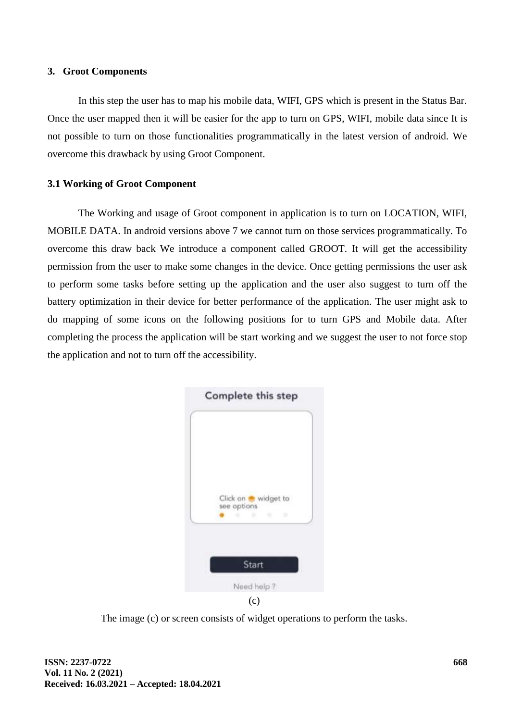### **3. Groot Components**

In this step the user has to map his mobile data, WIFI, GPS which is present in the Status Bar. Once the user mapped then it will be easier for the app to turn on GPS, WIFI, mobile data since It is not possible to turn on those functionalities programmatically in the latest version of android. We overcome this drawback by using Groot Component.

# **3.1 Working of Groot Component**

The Working and usage of Groot component in application is to turn on LOCATION, WIFI, MOBILE DATA. In android versions above 7 we cannot turn on those services programmatically. To overcome this draw back We introduce a component called GROOT. It will get the accessibility permission from the user to make some changes in the device. Once getting permissions the user ask to perform some tasks before setting up the application and the user also suggest to turn off the battery optimization in their device for better performance of the application. The user might ask to do mapping of some icons on the following positions for to turn GPS and Mobile data. After completing the process the application will be start working and we suggest the user to not force stop the application and not to turn off the accessibility.



(c)

The image (c) or screen consists of widget operations to perform the tasks.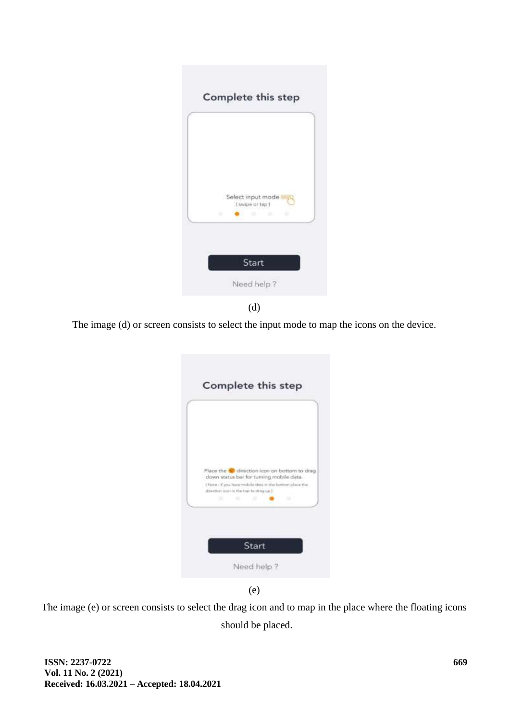



The image (d) or screen consists to select the input mode to map the icons on the device.

|                                           |                                         | Place the SI direction icon on bottom to drag                  |  |
|-------------------------------------------|-----------------------------------------|----------------------------------------------------------------|--|
| direction inter in the top ful thing up I | down status bar for tuming mobile data. | (Figure : if you, have multile sleep in the bottom place the : |  |
|                                           |                                         |                                                                |  |



The image (e) or screen consists to select the drag icon and to map in the place where the floating icons should be placed.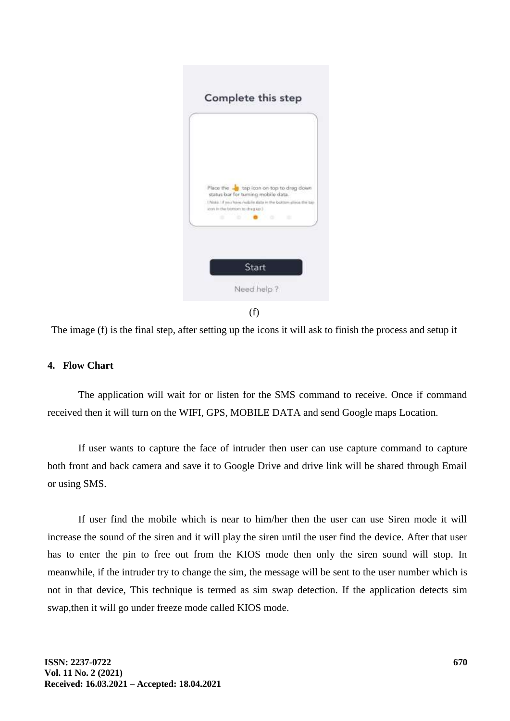| Place the sign tap icon on top to drag down                                                                                     |               |
|---------------------------------------------------------------------------------------------------------------------------------|---------------|
| status bar for turning mobile data.<br>1 Note 18 you have mobile data in the bottom slike<br>idean in the brighten to chap up 3 | of 10 at 5 AU |
| . .                                                                                                                             |               |
|                                                                                                                                 |               |

(f)

The image (f) is the final step, after setting up the icons it will ask to finish the process and setup it

# **4. Flow Chart**

The application will wait for or listen for the SMS command to receive. Once if command received then it will turn on the WIFI, GPS, MOBILE DATA and send Google maps Location.

If user wants to capture the face of intruder then user can use capture command to capture both front and back camera and save it to Google Drive and drive link will be shared through Email or using SMS.

If user find the mobile which is near to him/her then the user can use Siren mode it will increase the sound of the siren and it will play the siren until the user find the device. After that user has to enter the pin to free out from the KIOS mode then only the siren sound will stop. In meanwhile, if the intruder try to change the sim, the message will be sent to the user number which is not in that device, This technique is termed as sim swap detection. If the application detects sim swap,then it will go under freeze mode called KIOS mode.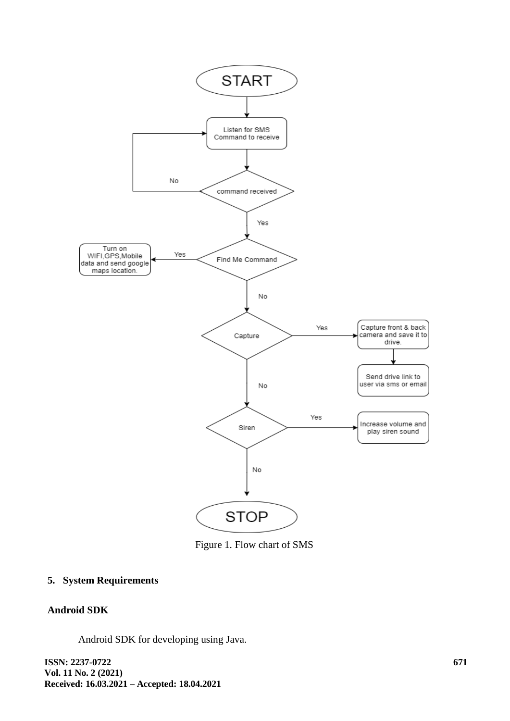

Figure 1. Flow chart of SMS

# **5. System Requirements**

# **Android SDK**

Android SDK for developing using Java.

**ISSN: 2237-0722 Vol. 11 No. 2 (2021) Received: 16.03.2021 – Accepted: 18.04.2021**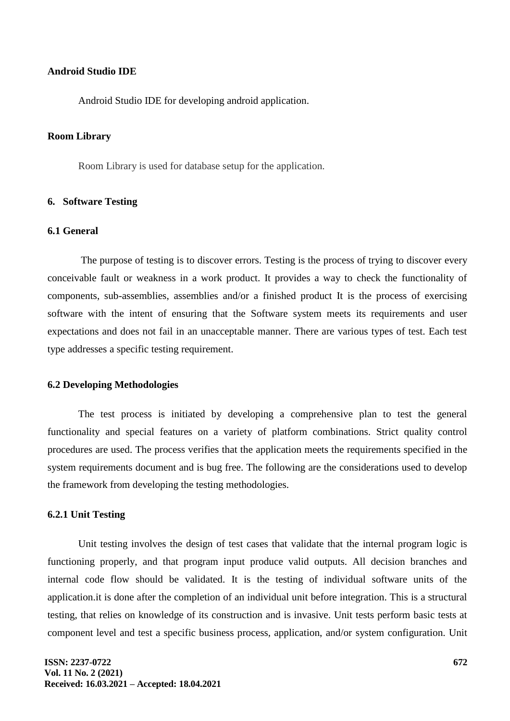### **Android Studio IDE**

Android Studio IDE for developing android application.

#### **Room Library**

Room Library is used for database setup for the application.

### **6. Software Testing**

# **6.1 General**

The purpose of testing is to discover errors. Testing is the process of trying to discover every conceivable fault or weakness in a work product. It provides a way to check the functionality of components, sub-assemblies, assemblies and/or a finished product It is the process of exercising software with the intent of ensuring that the Software system meets its requirements and user expectations and does not fail in an unacceptable manner. There are various types of test. Each test type addresses a specific testing requirement.

### **6.2 Developing Methodologies**

The test process is initiated by developing a comprehensive plan to test the general functionality and special features on a variety of platform combinations. Strict quality control procedures are used. The process verifies that the application meets the requirements specified in the system requirements document and is bug free. The following are the considerations used to develop the framework from developing the testing methodologies.

#### **6.2.1 Unit Testing**

Unit testing involves the design of test cases that validate that the internal program logic is functioning properly, and that program input produce valid outputs. All decision branches and internal code flow should be validated. It is the testing of individual software units of the application.it is done after the completion of an individual unit before integration. This is a structural testing, that relies on knowledge of its construction and is invasive. Unit tests perform basic tests at component level and test a specific business process, application, and/or system configuration. Unit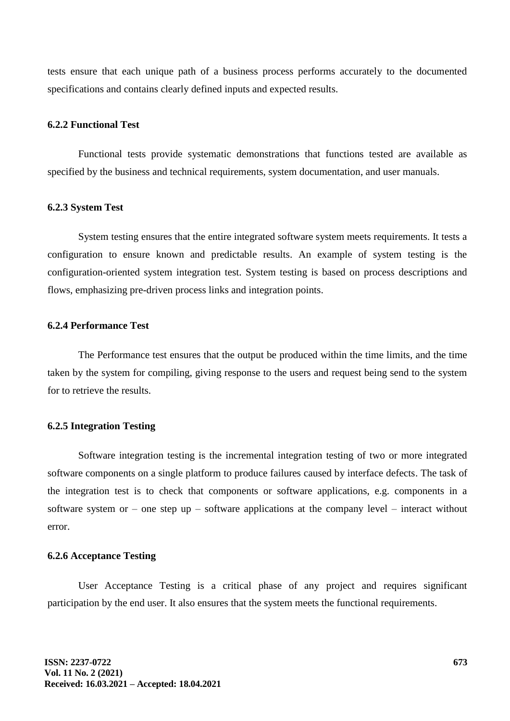tests ensure that each unique path of a business process performs accurately to the documented specifications and contains clearly defined inputs and expected results.

### **6.2.2 Functional Test**

Functional tests provide systematic demonstrations that functions tested are available as specified by the business and technical requirements, system documentation, and user manuals.

#### **6.2.3 System Test**

System testing ensures that the entire integrated software system meets requirements. It tests a configuration to ensure known and predictable results. An example of system testing is the configuration-oriented system integration test. System testing is based on process descriptions and flows, emphasizing pre-driven process links and integration points.

### **6.2.4 Performance Test**

The Performance test ensures that the output be produced within the time limits, and the time taken by the system for compiling, giving response to the users and request being send to the system for to retrieve the results.

# **6.2.5 Integration Testing**

Software integration testing is the incremental integration testing of two or more integrated software components on a single platform to produce failures caused by interface defects. The task of the integration test is to check that components or software applications, e.g. components in a software system or – one step up – software applications at the company level – interact without error.

### **6.2.6 Acceptance Testing**

User Acceptance Testing is a critical phase of any project and requires significant participation by the end user. It also ensures that the system meets the functional requirements.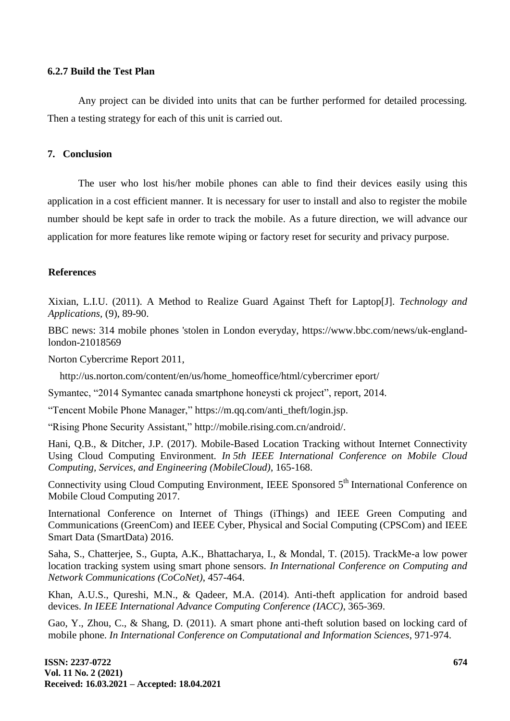# **6.2.7 Build the Test Plan**

Any project can be divided into units that can be further performed for detailed processing. Then a testing strategy for each of this unit is carried out.

### **7. Conclusion**

The user who lost his/her mobile phones can able to find their devices easily using this application in a cost efficient manner. It is necessary for user to install and also to register the mobile number should be kept safe in order to track the mobile. As a future direction, we will advance our application for more features like remote wiping or factory reset for security and privacy purpose.

### **References**

Xixian, L.I.U. (2011). A Method to Realize Guard Against Theft for Laptop[J]. *Technology and Applications,* (9), 89-90.

BBC news: 314 mobile phones 'stolen in London everyday, https://www.bbc.com/news/uk-englandlondon-21018569

Norton Cybercrime Report 2011,

[http://us.norton.com/content/en/us/home\\_homeoffice/html/cybercrimer](http://us.norton.com/content/en/) [eport/](http://us.norton.com/content/en/us/home_homeoffice/html/cybercrimereport/)

Symantec, "2014 Symantec canada smartphone honeysti ck project", report, 2014.

"Tencent Mobile Phone Manager," https://m.qq.com/anti\_theft/login.js[p.](http://m.qq.com/anti_theft/login.jsp)

"Rising Phone Security Assistant," [http://mobile.rising.com.cn/android/.](http://mobile.rising.com.cn/android/)

Hani, Q.B., & Ditcher, J.P. (2017). Mobile-Based Location Tracking without Internet Connectivity Using Cloud Computing Environment. *In 5th IEEE International Conference on Mobile Cloud Computing, Services, and Engineering (MobileCloud)*, 165-168.

Connectivity using Cloud Computing Environment, IEEE Sponsored 5<sup>th</sup> International Conference on Mobile Cloud Computing 2017.

International Conference on Internet of Things (iThings) and IEEE Green Computing and Communications (GreenCom) and IEEE Cyber, Physical and Social Computing (CPSCom) and IEEE Smart Data (SmartData) 2016.

Saha, S., Chatterjee, S., Gupta, A.K., Bhattacharya, I., & Mondal, T. (2015). TrackMe-a low power location tracking system using smart phone sensors. *In International Conference on Computing and Network Communications (CoCoNet)*, 457-464.

Khan, A.U.S., Qureshi, M.N., & Qadeer, M.A. (2014). Anti-theft application for android based devices. *In IEEE International Advance Computing Conference (IACC)*, 365-369.

Gao, Y., Zhou, C., & Shang, D. (2011). A smart phone anti-theft solution based on locking card of mobile phone. *In International Conference on Computational and Information Sciences*, 971-974.